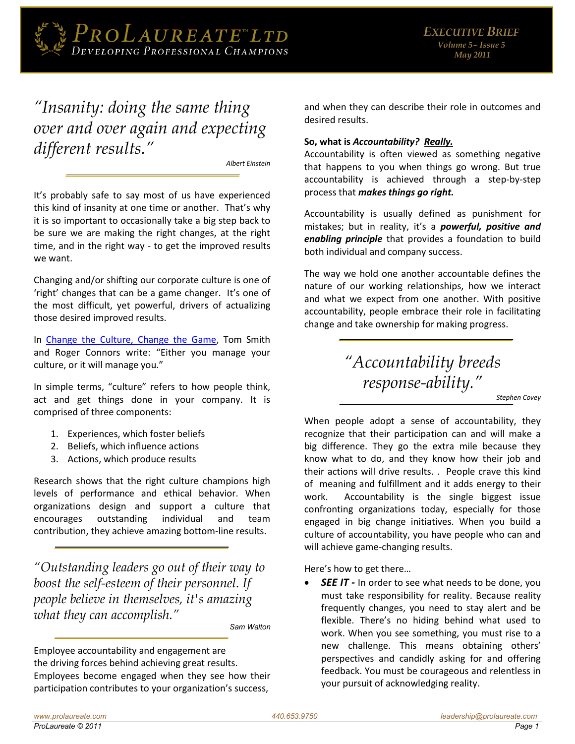

# "Insanity: doing the same thing over and over again and expecting different results."

**Albert Einstein** 

It's probably safe to say most of us have experienced this kind of insanity at one time or another. That's why it is so important to occasionally take a big step back to be sure we are making the right changes, at the right time, and in the right way - to get the improved results we want.

Changing and/or shifting our corporate culture is one of 'right' changes that can be a game changer. It's one of the most difficult, yet powerful, drivers of actualizing those desired improved results.

In Change the Culture, Change the Game, Tom Smith and Roger Connors write: "Either you manage your culture, or it will manage you."

In simple terms, "culture" refers to how people think, act and get things done in your company. It is comprised of three components:

- 1. Experiences, which foster beliefs
- 2. Beliefs, which influence actions
- 3. Actions, which produce results

Research shows that the right culture champions high levels of performance and ethical behavior. When organizations design and support a culture that encourages outstanding individual and team contribution, they achieve amazing bottom-line results.

"Outstanding leaders go out of their way to boost the self-esteem of their personnel. If people believe in themselves, it's amazing what they can accomplish."

Sam Walton

Employee accountability and engagement are the driving forces behind achieving great results. Employees become engaged when they see how their participation contributes to your organization's success,

and when they can describe their role in outcomes and desired results.

### So, what is Accountability? Really.

Accountability is often viewed as something negative that happens to you when things go wrong. But true accountability is achieved through a step-by-step process that makes things go right.

Accountability is usually defined as punishment for mistakes; but in reality, it's a *powerful, positive and* enabling principle that provides a foundation to build both individual and company success.

The way we hold one another accountable defines the nature of our working relationships, how we interact and what we expect from one another. With positive accountability, people embrace their role in facilitating change and take ownership for making progress.

# "Accountability breeds response-ability."

Stephen Covev

When people adopt a sense of accountability, they recognize that their participation can and will make a big difference. They go the extra mile because they know what to do, and they know how their job and their actions will drive results. . People crave this kind of meaning and fulfillment and it adds energy to their work. Accountability is the single biggest issue confronting organizations today, especially for those engaged in big change initiatives. When you build a culture of accountability, you have people who can and will achieve game-changing results.

Here's how to get there...

**SEE IT** - In order to see what needs to be done, you must take responsibility for reality. Because reality frequently changes, you need to stay alert and be flexible. There's no hiding behind what used to work. When you see something, you must rise to a new challenge. This means obtaining others' perspectives and candidly asking for and offering feedback. You must be courageous and relentless in your pursuit of acknowledging reality.